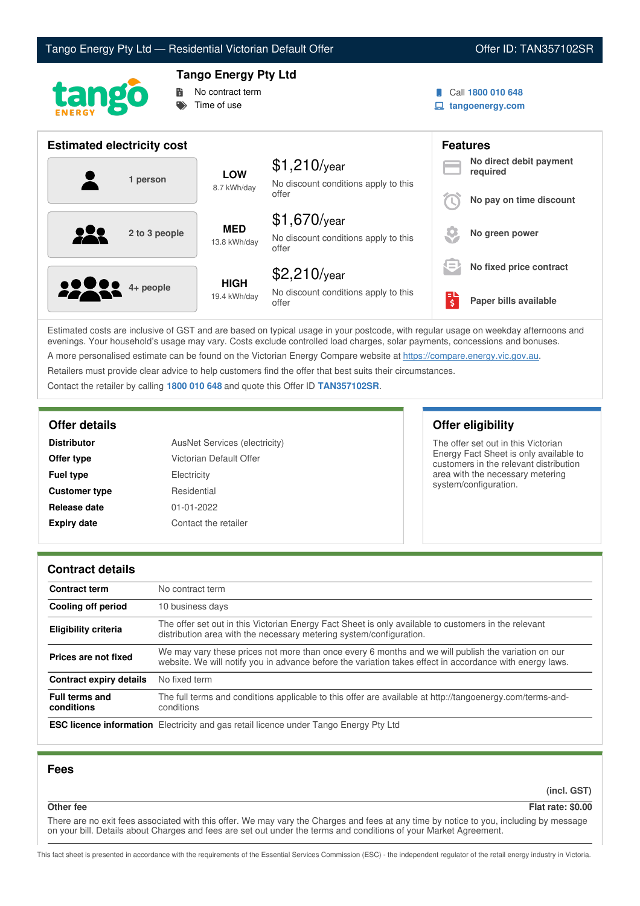



# **Tango Energy Pty Ltd**



Call **1800 010 648**

**tangoenergy.com**

| <b>Estimated electricity cost</b> |                             |                                                                 |                                     | <b>Features</b>                     |  |
|-----------------------------------|-----------------------------|-----------------------------------------------------------------|-------------------------------------|-------------------------------------|--|
| 1 person                          | <b>LOW</b><br>8.7 kWh/day   | $$1,210$ /year<br>No discount conditions apply to this          |                                     | No direct debit payment<br>required |  |
|                                   |                             | offer                                                           |                                     | No pay on time discount             |  |
| <u>929</u><br>2 to 3 people       | <b>MED</b><br>13.8 kWh/day  | $$1,670$ /year<br>No discount conditions apply to this<br>offer |                                     | No green power                      |  |
|                                   |                             | $$2,210$ /year                                                  | $\qquad \qquad \blacksquare$<br>$=$ | No fixed price contract             |  |
| <b>00000</b> 4+ people            | <b>HIGH</b><br>19.4 kWh/day | No discount conditions apply to this<br>offer                   | $\overline{\boldsymbol{\varsigma}}$ | Paper bills available               |  |

Estimated costs are inclusive of GST and are based on typical usage in your postcode, with regular usage on weekday afternoons and evenings. Your household's usage may vary. Costs exclude controlled load charges, solar payments, concessions and bonuses. A more personalised estimate can be found on the Victorian Energy Compare website at <https://compare.energy.vic.gov.au>.

Retailers must provide clear advice to help customers find the offer that best suits their circumstances.

Contact the retailer by calling **1800 010 648** and quote this Offer ID **TAN357102SR**.

| <b>Distributor</b>   | AusNet Services (electricity) |
|----------------------|-------------------------------|
| Offer type           | Victorian Default Offer       |
| <b>Fuel type</b>     | Electricity                   |
| <b>Customer type</b> | Residential                   |
| Release date         | $01 - 01 - 2022$              |
| <b>Expiry date</b>   | Contact the retailer          |

## **Offer details Offer eligibility**

The offer set out in this Victorian Energy Fact Sheet is only available to customers in the relevant distribution area with the necessary metering system/configuration.

## **Contract details**

| <b>Contract term</b>                | No contract term                                                                                                                                                                                                |  |  |
|-------------------------------------|-----------------------------------------------------------------------------------------------------------------------------------------------------------------------------------------------------------------|--|--|
| Cooling off period                  | 10 business days                                                                                                                                                                                                |  |  |
| <b>Eligibility criteria</b>         | The offer set out in this Victorian Energy Fact Sheet is only available to customers in the relevant<br>distribution area with the necessary metering system/configuration.                                     |  |  |
| Prices are not fixed                | We may vary these prices not more than once every 6 months and we will publish the variation on our<br>website. We will notify you in advance before the variation takes effect in accordance with energy laws. |  |  |
| Contract expiry details             | No fixed term                                                                                                                                                                                                   |  |  |
| <b>Full terms and</b><br>conditions | The full terms and conditions applicable to this offer are available at http://tangoenergy.com/terms-and-<br>conditions                                                                                         |  |  |
|                                     | <b>ESC licence information</b> Electricity and gas retail licence under Tango Energy Pty Ltd                                                                                                                    |  |  |

### **Fees**

**(incl. GST)**

## **Other fee Flat rate: \$0.00**

There are no exit fees associated with this offer. We may vary the Charges and fees at any time by notice to you, including by message on your bill. Details about Charges and fees are set out under the terms and conditions of your Market Agreement.

This fact sheet is presented in accordance with the requirements of the Essential Services Commission (ESC) - the independent regulator of the retail energy industry in Victoria.